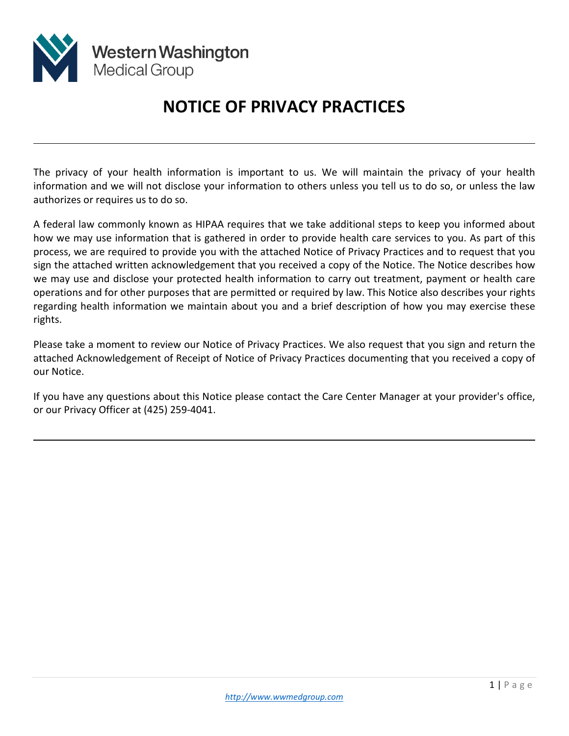

l

l

# **NOTICE OF PRIVACY PRACTICES**

The privacy of your health information is important to us. We will maintain the privacy of your health information and we will not disclose your information to others unless you tell us to do so, or unless the law authorizes or requires us to do so.

A federal law commonly known as HIPAA requires that we take additional steps to keep you informed about how we may use information that is gathered in order to provide health care services to you. As part of this process, we are required to provide you with the attached Notice of Privacy Practices and to request that you sign the attached written acknowledgement that you received a copy of the Notice. The Notice describes how we may use and disclose your protected health information to carry out treatment, payment or health care operations and for other purposes that are permitted or required by law. This Notice also describes your rights regarding health information we maintain about you and a brief description of how you may exercise these rights.

Please take a moment to review our Notice of Privacy Practices. We also request that you sign and return the attached Acknowledgement of Receipt of Notice of Privacy Practices documenting that you received a copy of our Notice.

If you have any questions about this Notice please contact the Care Center Manager at your provider's office, or our Privacy Officer at (425) 259-4041.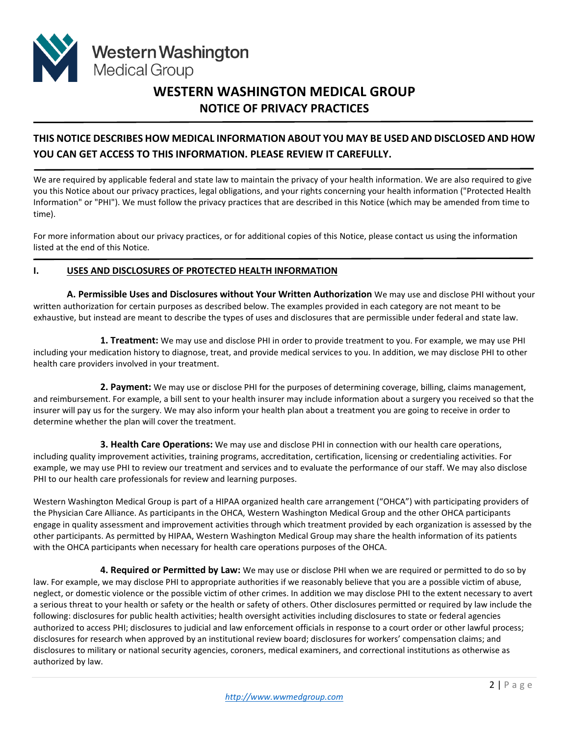

## **WESTERN WASHINGTON MEDICAL GROUP NOTICE OF PRIVACY PRACTICES**

### **THIS NOTICE DESCRIBES HOW MEDICAL INFORMATION ABOUT YOU MAY BE USED AND DISCLOSED AND HOW YOU CAN GET ACCESS TO THIS INFORMATION. PLEASE REVIEW IT CAREFULLY.**

We are required by applicable federal and state law to maintain the privacy of your health information. We are also required to give you this Notice about our privacy practices, legal obligations, and your rights concerning your health information ("Protected Health Information" or "PHI"). We must follow the privacy practices that are described in this Notice (which may be amended from time to time).

For more information about our privacy practices, or for additional copies of this Notice, please contact us using the information listed at the end of this Notice.

#### **I. USES AND DISCLOSURES OF PROTECTED HEALTH INFORMATION**

**A. Permissible Uses and Disclosures without Your Written Authorization** We may use and disclose PHI without your written authorization for certain purposes as described below. The examples provided in each category are not meant to be exhaustive, but instead are meant to describe the types of uses and disclosures that are permissible under federal and state law.

**1. Treatment:** We may use and disclose PHI in order to provide treatment to you. For example, we may use PHI including your medication history to diagnose, treat, and provide medical services to you. In addition, we may disclose PHI to other health care providers involved in your treatment.

**2. Payment:** We may use or disclose PHI for the purposes of determining coverage, billing, claims management, and reimbursement. For example, a bill sent to your health insurer may include information about a surgery you received so that the insurer will pay us for the surgery. We may also inform your health plan about a treatment you are going to receive in order to determine whether the plan will cover the treatment.

**3. Health Care Operations:** We may use and disclose PHI in connection with our health care operations, including quality improvement activities, training programs, accreditation, certification, licensing or credentialing activities. For example, we may use PHI to review our treatment and services and to evaluate the performance of our staff. We may also disclose PHI to our health care professionals for review and learning purposes.

Western Washington Medical Group is part of a HIPAA organized health care arrangement ("OHCA") with participating providers of the Physician Care Alliance. As participants in the OHCA, Western Washington Medical Group and the other OHCA participants engage in quality assessment and improvement activities through which treatment provided by each organization is assessed by the other participants. As permitted by HIPAA, Western Washington Medical Group may share the health information of its patients with the OHCA participants when necessary for health care operations purposes of the OHCA.

**4. Required or Permitted by Law:** We may use or disclose PHI when we are required or permitted to do so by law. For example, we may disclose PHI to appropriate authorities if we reasonably believe that you are a possible victim of abuse, neglect, or domestic violence or the possible victim of other crimes. In addition we may disclose PHI to the extent necessary to avert a serious threat to your health or safety or the health or safety of others. Other disclosures permitted or required by law include the following: disclosures for public health activities; health oversight activities including disclosures to state or federal agencies authorized to access PHI; disclosures to judicial and law enforcement officials in response to a court order or other lawful process; disclosures for research when approved by an institutional review board; disclosures for workers' compensation claims; and disclosures to military or national security agencies, coroners, medical examiners, and correctional institutions as otherwise as authorized by law.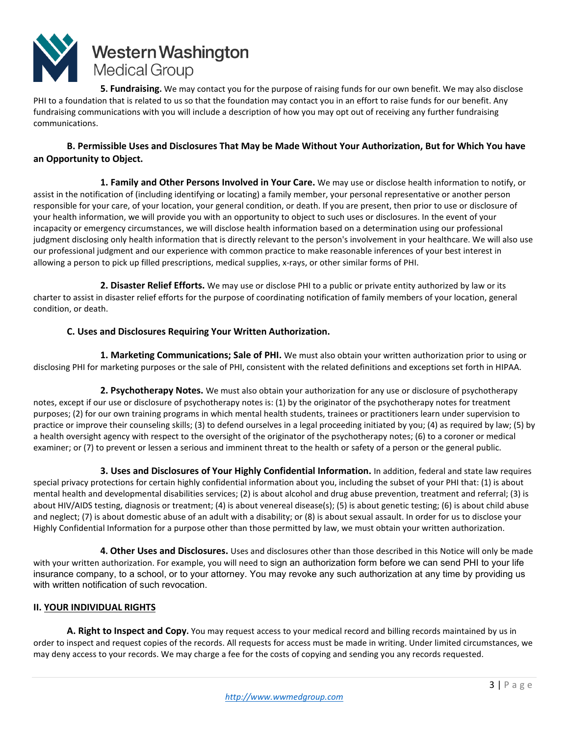

**5. Fundraising.** We may contact you for the purpose of raising funds for our own benefit. We may also disclose PHI to a foundation that is related to us so that the foundation may contact you in an effort to raise funds for our benefit. Any fundraising communications with you will include a description of how you may opt out of receiving any further fundraising communications.

#### **B. Permissible Uses and Disclosures That May be Made Without Your Authorization, But for Which You have an Opportunity to Object.**

**1. Family and Other Persons Involved in Your Care.** We may use or disclose health information to notify, or assist in the notification of (including identifying or locating) a family member, your personal representative or another person responsible for your care, of your location, your general condition, or death. If you are present, then prior to use or disclosure of your health information, we will provide you with an opportunity to object to such uses or disclosures. In the event of your incapacity or emergency circumstances, we will disclose health information based on a determination using our professional judgment disclosing only health information that is directly relevant to the person's involvement in your healthcare. We will also use our professional judgment and our experience with common practice to make reasonable inferences of your best interest in allowing a person to pick up filled prescriptions, medical supplies, x-rays, or other similar forms of PHI.

**2. Disaster Relief Efforts.** We may use or disclose PHI to a public or private entity authorized by law or its charter to assist in disaster relief efforts for the purpose of coordinating notification of family members of your location, general condition, or death.

#### **C. Uses and Disclosures Requiring Your Written Authorization.**

**1. Marketing Communications; Sale of PHI.** We must also obtain your written authorization prior to using or disclosing PHI for marketing purposes or the sale of PHI, consistent with the related definitions and exceptions set forth in HIPAA.

**2. Psychotherapy Notes.** We must also obtain your authorization for any use or disclosure of psychotherapy notes, except if our use or disclosure of psychotherapy notes is: (1) by the originator of the psychotherapy notes for treatment purposes; (2) for our own training programs in which mental health students, trainees or practitioners learn under supervision to practice or improve their counseling skills; (3) to defend ourselves in a legal proceeding initiated by you; (4) as required by law; (5) by a health oversight agency with respect to the oversight of the originator of the psychotherapy notes; (6) to a coroner or medical examiner; or (7) to prevent or lessen a serious and imminent threat to the health or safety of a person or the general public.

**3. Uses and Disclosures of Your Highly Confidential Information.** In addition, federal and state law requires special privacy protections for certain highly confidential information about you, including the subset of your PHI that: (1) is about mental health and developmental disabilities services; (2) is about alcohol and drug abuse prevention, treatment and referral; (3) is about HIV/AIDS testing, diagnosis or treatment; (4) is about venereal disease(s); (5) is about genetic testing; (6) is about child abuse and neglect; (7) is about domestic abuse of an adult with a disability; or (8) is about sexual assault. In order for us to disclose your Highly Confidential Information for a purpose other than those permitted by law, we must obtain your written authorization.

**4. Other Uses and Disclosures.** Uses and disclosures other than those described in this Notice will only be made with your written authorization. For example, you will need to sign an authorization form before we can send PHI to your life insurance company, to a school, or to your attorney. You may revoke any such authorization at any time by providing us with written notification of such revocation.

#### **II. YOUR INDIVIDUAL RIGHTS**

**A. Right to Inspect and Copy.** You may request access to your medical record and billing records maintained by us in order to inspect and request copies of the records. All requests for access must be made in writing. Under limited circumstances, we may deny access to your records. We may charge a fee for the costs of copying and sending you any records requested.